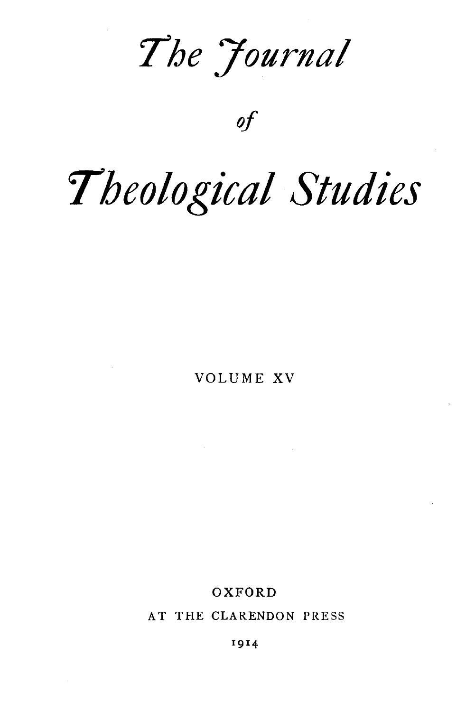*'7he 7ournal* 

*of* 

# *'Theological Studies*

VOLUME XV

OXFORD

AT THE CLARENDON PRESS

1914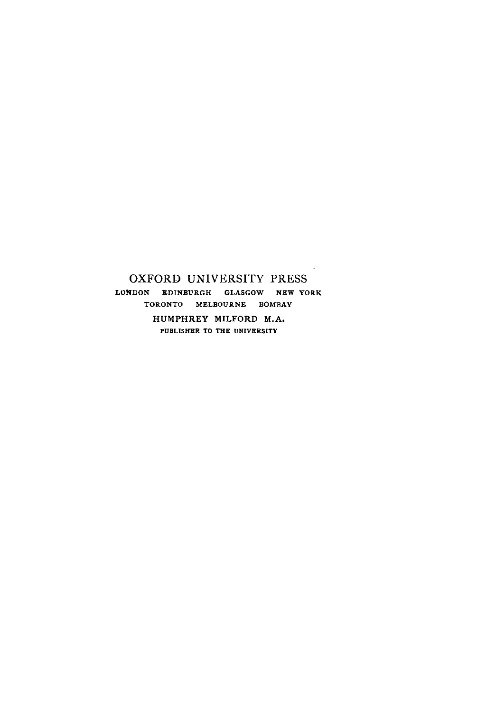#### OXFORD UNIVERSITY PRESS LONDON EDINBURGH GLASGOW NEW YORK TORONTO MELBOURNE BOMBAY HUMPHREY MILFORD M.A, PUBLISHER TO THE UNIVERSITY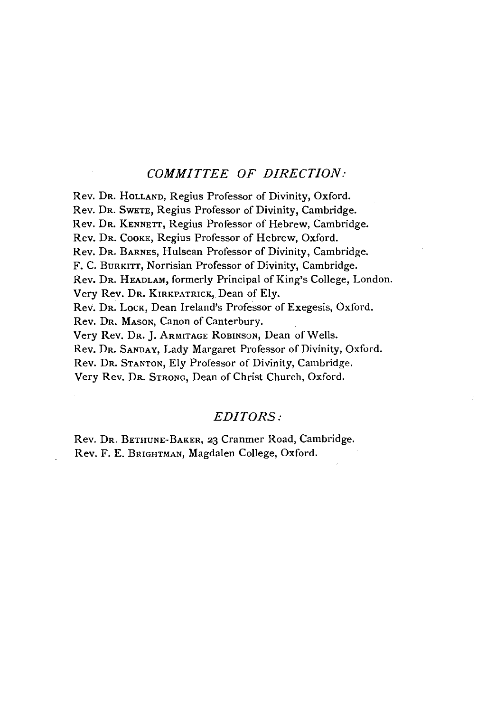#### *COMMITTEE OF DIRECTION:*

Rev. DR. HoLLAND, Regius Professor of Divinity, Oxford. Rev. DR. SwETE, Regius Professor of Divinity, Cambridge. Rev. DR. KENNETT, Regius Professor of Hebrew, Cambridge. Rev. DR. CooKE, Regius Professor of Hebrew, Oxford. Rev. DR. BARNES, Hulsean Professor of Divinity, Cambridge. F. C. BuRKITT, Norrisian Professor of Divinity, Cambridge. Rev. DR. HEADLAM, formerly Principal of King's College, London. Very Rev. DR. KIRKPATRicK, Dean of Ely. Rev. Dr. Lock, Dean Ireland's Professor of Exegesis, Oxford. Rev. DR. MAsON, Canon of Canterbury. Very Rev. DR. J. ARMITAGE RoBINSoN, Dean of Wells. Rev. DR. SANDAY, Lady Margaret Professor of Divinity, Oxford. Rev. DR. STANTON, Ely Professor of Divinity, Cambridge. Very Rev. DR. STRONG, Dean of Christ Church, Oxford.

#### *EDITORS:*

Rev. DR. BETHUNE-BAKER, 23 Cranmer Road, Cambridge. Rev. F. E. BRIGHTMAN, Magdalen College, Oxford.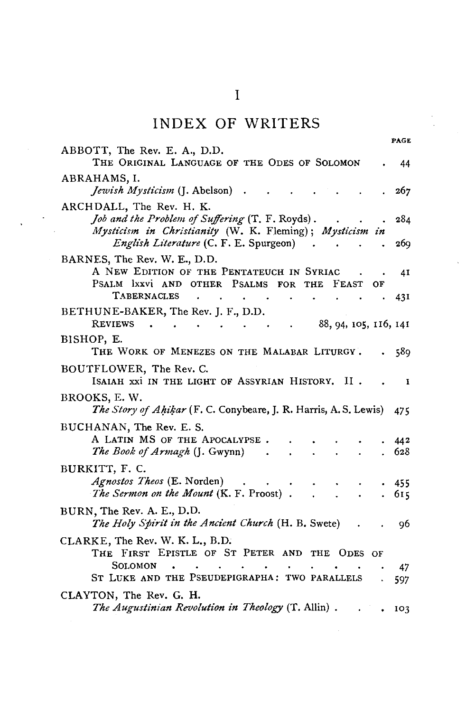# INDEX **OF** WRITERS

| PAGE                                                                                                                                     |
|------------------------------------------------------------------------------------------------------------------------------------------|
| ABBOTT, The Rev. E. A., D.D.                                                                                                             |
| THE ORIGINAL LANGUAGE OF THE ODES OF SOLOMON<br>44                                                                                       |
| ABRAHAMS, I.<br><i>Jewish Mysticism</i> (J. Abelson)<br>267<br>$\ddot{\phantom{1}}$                                                      |
| ARCHDALL, The Rev. H. K.                                                                                                                 |
| Job and the Problem of Suffering (T. F. Royds).<br>284<br>Mysticism in Christianity (W. K. Fleming); Mysticism in                        |
| English Literature (C. F. E. Spurgeon)<br>269                                                                                            |
| BARNES, The Rev. W. E., D.D.                                                                                                             |
| A NEW EDITION OF THE PENTATEUCH IN SYRIAC<br>41<br>PSALM IXXVI AND OTHER PSALMS<br>FOR THE<br>FEAST<br>ОF                                |
| <b>TABERNACLES</b><br>431                                                                                                                |
| BETHUNE-BAKER, The Rev. J. F., D.D.                                                                                                      |
| 88, 94, 105, 116, 141<br>REVIEWS<br>$\mathbf{u} = \mathbf{u} + \mathbf{u}$ , and $\mathbf{u} = \mathbf{u} + \mathbf{u}$<br>$\sim$ $\sim$ |
| BISHOP, E.<br>THE WORK OF MENEZES ON THE MALABAR LITURGY.<br>589                                                                         |
| BOUTFLOWER, The Rev. C.                                                                                                                  |
| ISAIAH XXI IN THE LIGHT OF ASSYRIAN HISTORY.<br>н.<br>1                                                                                  |
| BROOKS, E.W.<br>The Story of Ahikar (F. C. Conybeare, J. R. Harris, A. S. Lewis)<br>475                                                  |
| BUCHANAN, The Rev. E. S.                                                                                                                 |
| A LATIN MS OF THE APOCALYPSE.<br>442                                                                                                     |
| The Book of Armagh (J. Gwynn)<br>628<br>$\ddot{\phantom{0}}$                                                                             |
| BURKITT, F. C.                                                                                                                           |
| Agnostos Theos (E. Norden)<br>455                                                                                                        |
| The Sermon on the Mount (K. F. Proost).<br>615<br>$\mathbf{L}$<br>$\Delta \sim 10$                                                       |
| BURN, The Rev. A. E., D.D.                                                                                                               |
| The Holy Spirit in the Ancient Church (H. B. Swete)<br>96                                                                                |
| CLARKE, The Rev. W. K. L., B.D.                                                                                                          |
| THE FIRST EPISTLE OF ST PETER AND THE ODES OF                                                                                            |
| SOLOMON<br>47<br>ST LUKE AND THE PSEUDEPIGRAPHA: TWO PARALLELS                                                                           |
| 597                                                                                                                                      |
| CLAYTON, The Rev. G. H.<br>The Augustinian Revolution in Theology (T. Allin).<br>103                                                     |
|                                                                                                                                          |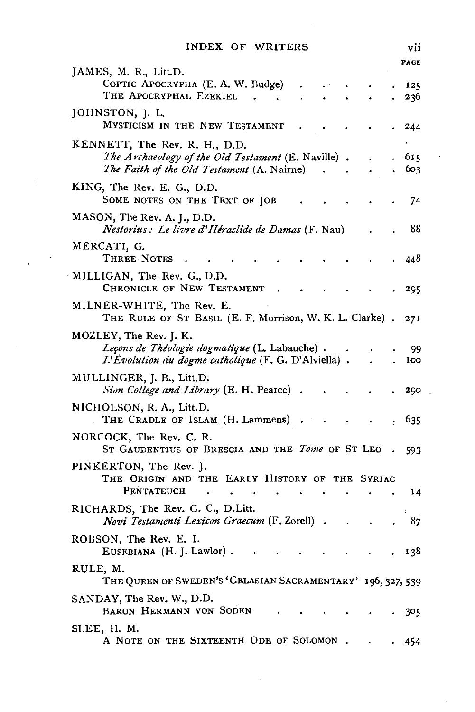|  | INDEX OF WRITERS |  |
|--|------------------|--|

 $\bar{\gamma}$ 

 $\sqrt{2}$ 

|                                                                                                                                   |           |  | PAGE       |
|-----------------------------------------------------------------------------------------------------------------------------------|-----------|--|------------|
| JAMES, M. R., Litt.D.<br>COPTIC APOCRYPHA (E. A. W. Budge)<br>THE APOCRYPHAL EZEKIEL                                              |           |  | 125<br>236 |
| JOHNSTON, J. L.<br>MYSTICISM IN THE NEW TESTAMENT                                                                                 |           |  | 244        |
| KENNETT, The Rev. R. H., D.D.<br>The Archaeology of the Old Testament (E. Naville).<br>The Faith of the Old Testament (A. Nairne) |           |  | 615<br>603 |
| KING, The Rev. E. G., D.D.<br>SOME NOTES ON THE TEXT OF JOB                                                                       |           |  | 74         |
| MASON, The Rev. A. J., D.D.<br>Nestorius: Le livre d'Héraclide de Damas (F. Nau)                                                  |           |  | 88         |
| MERCATI, G.<br>THREE NOTES                                                                                                        |           |  | 448        |
| MILLIGAN, The Rev. G., D.D.<br>CHRONICLE OF NEW TESTAMENT                                                                         |           |  | 295        |
| MILNER-WHITE, The Rev. E.<br>THE RULE OF ST BASIL (E. F. Morrison, W. K. L. Clarke).                                              |           |  | 271        |
| MOZLEY, The Rev. J. K.<br>Leçons de Théologie dogmatique (L. Labauche).<br>L'Évolution du dogme catholique (F. G. D'Alviella).    |           |  | 99<br>100  |
| MULLINGER, J. B., Litt.D.<br>Sion College and Library (E. H. Pearce).                                                             |           |  | 290        |
| NICHOLSON, R. A., Litt.D.<br>THE CRADLE OF ISLAM (H. Lammens)                                                                     |           |  | 635        |
| NORCOCK, The Rev. C. R.<br>ST GAUDENTIUS OF BRESCIA AND THE <i>Tome</i> OF ST LEO                                                 |           |  | 593        |
| PINKERTON, The Rev. J.<br>THE ORIGIN AND THE EARLY HISTORY OF THE SYRIAC                                                          |           |  |            |
| PENTATEUCH<br>$\bullet$<br>RICHARDS, The Rev. G. C., D.Litt.                                                                      | $\bullet$ |  | 14         |
| Novi Testamenti Lexicon Graecum (F. Zorell).                                                                                      |           |  | 87         |
| ROBSON, The Rev. E. I.<br>EUSEBIANA (H. J. Lawlor).                                                                               |           |  | 138        |
| RULE, M.<br>THE QUEEN OF SWEDEN'S 'GELASIAN SACRAMENTARY' 196, 327, 539                                                           |           |  |            |
| SANDAY, The Rev. W., D.D.<br>BARON HERMANN VON SODEN                                                                              |           |  | 305        |
| SLEE, H. M.<br>A NOTE ON THE SIXTEENTH ODE OF SOLOMON                                                                             |           |  | 454        |

 $\ddot{\phantom{0}}$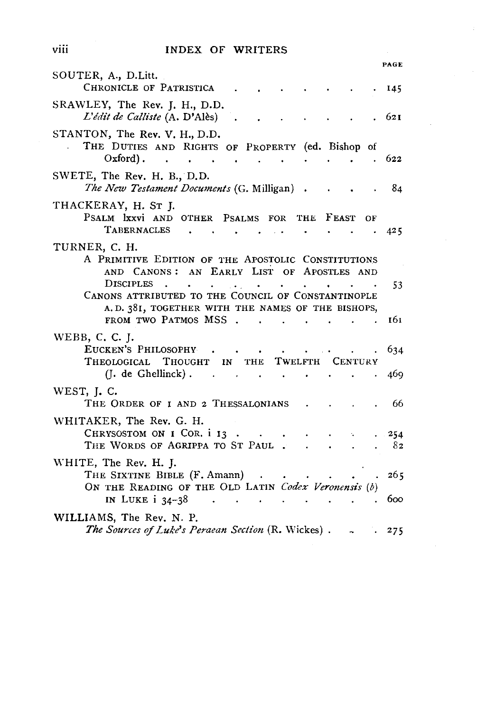#### INDEX OF WRITERS

|                                                                                                                                                                                                                                                                                                                        | PAGE |
|------------------------------------------------------------------------------------------------------------------------------------------------------------------------------------------------------------------------------------------------------------------------------------------------------------------------|------|
| SOUTER, A., D.Litt.<br>CHRONICLE OF PATRISTICA                                                                                                                                                                                                                                                                         | 145  |
| SRAWLEY, The Rev. J. H., D.D.<br>L'édit de Calliste (A. D'Alès)                                                                                                                                                                                                                                                        | 621  |
| STANTON, The Rev. V. H., D.D.<br>THE DUTIES AND RIGHTS OF PROPERTY (ed. Bishop of                                                                                                                                                                                                                                      |      |
| $Oxford)$ .<br><b>Contract Contract</b>                                                                                                                                                                                                                                                                                | 622  |
| SWETE, The Rev. H. B., D.D.<br>The New Testament Documents (G. Milligan).                                                                                                                                                                                                                                              | 84   |
| THACKERAY, H. ST J.                                                                                                                                                                                                                                                                                                    |      |
| PSALM IXXVI AND OTHER PSALMS FOR THE FEAST<br>ΟF                                                                                                                                                                                                                                                                       |      |
| TABERNACLES<br>$\sim$<br>$\sim$                                                                                                                                                                                                                                                                                        | 425  |
| TURNER, C. H.<br>A PRIMITIVE EDITION OF THE APOSTOLIC CONSTITUTIONS<br>AND CANONS: AN EARLY LIST OF APOSTLES AND                                                                                                                                                                                                       |      |
| <b>DISCIPLES</b><br><b>Contract Contract</b><br><b>Contract Contract</b><br>$\ddot{\phantom{0}}$<br>$\sim$ $\sim$<br>$\bullet$                                                                                                                                                                                         | 53   |
| CANONS ATTRIBUTED TO THE COUNCIL OF CONSTANTINOPLE                                                                                                                                                                                                                                                                     |      |
| A.D. 381, TOGETHER WITH THE NAMES OF THE BISHOPS,<br>FROM TWO PATMOS MSS<br>$\sim 10^{-10}$ and $\sim 10^{-10}$<br>$\sim$ 140                                                                                                                                                                                          | 161  |
| WEBB, C. C. J.                                                                                                                                                                                                                                                                                                         |      |
| EUCKEN'S PHILOSOPHY<br><b>Carl College College</b><br>$\bullet$ . The set of the set of the set of the set of the set of the set of the set of the set of the set of the set of the set of the set of the set of the set of the set of the set of the set of the set of the set of the s                               | 634  |
| THEOLOGICAL THOUGHT IN THE TWELFTH CENTURY                                                                                                                                                                                                                                                                             |      |
| $(I. de Ghellinck)$ .<br>the contract of the contract of the contract of the contract of the contract of                                                                                                                                                                                                               | 469  |
| WEST, J.C.<br>THE ORDER OF I AND 2 THESSALONIANS                                                                                                                                                                                                                                                                       | 66   |
| WHITAKER, The Rev. G. H.                                                                                                                                                                                                                                                                                               |      |
| CHRYSOSTOM ON I COR. i 13.<br>$\sim$ 100 $\sim$<br>$\sim 10^{-11}$                                                                                                                                                                                                                                                     | 254  |
| THE WORDS OF AGRIPPA TO ST PAUL                                                                                                                                                                                                                                                                                        | 82   |
| WHITE, The Rev. H. J.<br>THE SIXTINE BIBLE (F. Amann)<br>$\sim$                                                                                                                                                                                                                                                        | 265  |
| ON THE READING OF THE OLD LATIN Codex Veronensis (b)<br>IN LUKE $i$ 34-38<br>$\mathcal{L}^{\mathcal{A}}$ , and the contribution of the contribution of the contribution of the contribution of the contribution of the contribution of the contribution of the contribution of the contribution of the contribution of | 600  |
| WILLIAMS, The Rev. N. P.                                                                                                                                                                                                                                                                                               |      |
| The Sources of Luke's Peraean Section (R. Wickes).<br>$\sim$ 100 $\sim$                                                                                                                                                                                                                                                | .275 |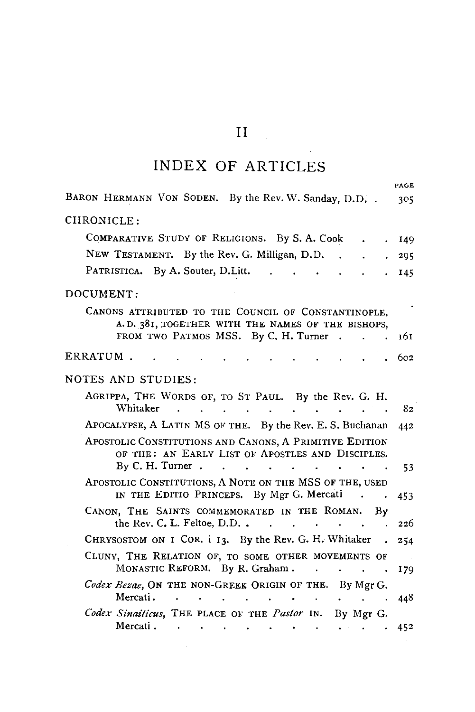# II

# INDEX OF ARTICLES

|                                                                                                                                                                  | PAGE |
|------------------------------------------------------------------------------------------------------------------------------------------------------------------|------|
| BARON HERMANN VON SODEN. By the Rev. W. Sanday, D.D. .                                                                                                           | 305  |
| CHRONICLE:                                                                                                                                                       |      |
| COMPARATIVE STUDY OF RELIGIONS. By S. A. Cook                                                                                                                    | 149  |
| NEW TESTAMENT. By the Rev. G. Milligan, D.D.                                                                                                                     | 295  |
| PATRISTICA. By A. Souter, D.Litt.                                                                                                                                | 145  |
| DOCUMENT:                                                                                                                                                        |      |
| CANONS ATTRIBUTED TO THE COUNCIL OF CONSTANTINOPLE,<br>A.D. 381, TOGETHER WITH THE NAMES OF THE BISHOPS,<br>FROM TWO PATMOS MSS. By C. H. Turner<br>$\sim$       | 161  |
|                                                                                                                                                                  |      |
| ERRATUM.                                                                                                                                                         | 602  |
| NOTES AND STUDIES:                                                                                                                                               |      |
| AGRIPPA, THE WORDS OF, TO ST PAUL. By the Rev. G. H.<br>Whitaker                                                                                                 | 82   |
| APOCALYPSE, A LATIN MS OF THE. By the Rev. E. S. Buchanan                                                                                                        | 442  |
| APOSTOLIC CONSTITUTIONS AND CANONS, A PRIMITIVE EDITION<br>OF THE: AN EARLY LIST OF APOSTLES AND DISCIPLES.<br>By C. H. Turner.                                  |      |
| APOSTOLIC CONSTITUTIONS, A NOTE ON THE MSS OF THE, USED                                                                                                          | 53   |
| IN THE EDITIO PRINCEPS. By Mgr G. Mercati                                                                                                                        | 453  |
| CANON, THE SAINTS COMMEMORATED IN THE ROMAN.<br>By                                                                                                               |      |
| the Rev. C. L. Feltoe, D.D<br><b>Contract</b>                                                                                                                    | 226  |
| CHRYSOSTOM ON I COR. i 13. By the Rev. G. H. Whitaker                                                                                                            | 254  |
| CLUNY, THE RELATION OF, TO SOME OTHER MOVEMENTS OF<br>MONASTIC REFORM. By R. Graham.                                                                             | 179  |
| Codex Bezae, ON THE NON-GREEK ORIGIN OF THE. By Mgr G.<br>Mercati.                                                                                               | 448  |
| Codex Sinaiticus, THE PLACE OF THE Pastor IN. By Mgr G.<br>Mercati.<br>$\sim$ $\sim$<br>the contract of the contract of the contract of the contract of the con- | 452  |

 $\mathcal{L}_{\text{max}}$  and  $\mathcal{L}_{\text{max}}$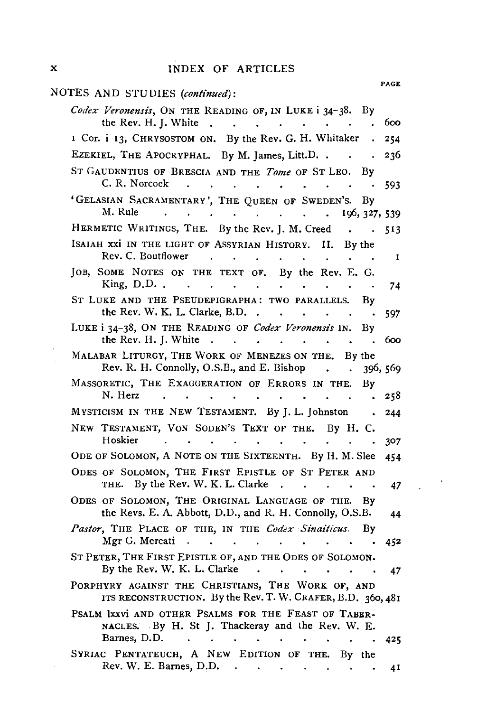#### X INDEX OF ARTICLES

| NOTES AND STUDIES (continued):                                                                                                                                                                                 | <b>PAGE</b> |
|----------------------------------------------------------------------------------------------------------------------------------------------------------------------------------------------------------------|-------------|
| Codex Veronensis, ON THE READING OF, IN LUKE i 34-38. By                                                                                                                                                       |             |
| the Rev. H. J. White.<br>$\ddot{\phantom{a}}$<br>$\ddot{\phantom{a}}$<br>$\ddot{\phantom{a}}$                                                                                                                  | 600         |
| I Cor. i 13, CHRYSOSTOM ON. By the Rev. G. H. Whitaker .                                                                                                                                                       | 254         |
| EZEKIEL, THE APOCRYPHAL. By M. James, Litt.D.                                                                                                                                                                  | 236         |
| ST GAUDENTIUS OF BRESCIA AND THE <i>Tome</i> OF ST LEO.<br>By<br>C. R. Norcock<br>$\sim$<br>$\ddot{\phantom{0}}$<br><b>Contract Contract Service</b>                                                           | 593         |
| 'GELASIAN SACRAMENTARY', THE QUEEN OF SWEDEN'S.<br>Bν<br>M. Rule<br>the contract of the contract of<br>$\ddot{\phantom{a}}$<br>$\ddot{\phantom{a}}$<br>196, 327, 539<br>$\bullet$ .                            |             |
| HERMETIC WRITINGS, THE. By the Rev. J. M. Creed<br>$\sim$                                                                                                                                                      | 513         |
| ISAIAH XXI IN THE LIGHT OF ASSYRIAN HISTORY.<br>Н.<br>By the<br>Rev. C. Boutflower<br><b>Contract Contract Contract</b><br>$\sim$<br>$\mathbf{L}^{\text{max}}$<br>$\ddot{\phantom{0}}$<br>$\ddot{\phantom{0}}$ | 1           |
| JOB, SOME NOTES ON THE TEXT OF. By the Rev. E. G.<br>King, $D.D.$ .<br>$\ddot{\phantom{a}}$<br>$\ddot{\phantom{a}}$<br>$\bullet$ . $\bullet$ .<br>$\ddot{\phantom{0}}$<br>$\bullet$                            | 74          |
| ST LUKE AND THE PSEUDEPIGRAPHA: TWO PARALLELS.<br>Bγ<br>the Rev. W. K. L. Clarke, B.D<br><b>CALCULATION</b><br>$\sim$                                                                                          | 597         |
| LUKE i 34-38, ON THE READING OF Codex Veronensis IN.<br>Βv<br>the Rev. H. J. White.<br>the contract of the con-<br>$\ddot{\bullet}$<br>$\ddot{\phantom{a}}$<br>$\sim$                                          | 600         |
| MALABAR LITURGY, THE WORK OF MENEZES ON THE. By the<br>Rev. R. H. Connolly, O.S.B., and E. Bishop.<br>$\sim$                                                                                                   | 396, 569    |
| MASSORETIC, THE EXAGGERATION OF ERRORS IN THE.<br>By<br>N. Herz<br>$\bullet$<br>$\bullet$<br>$\bullet$<br>$\sim$ $\sim$                                                                                        | 258         |
| MYSTICISM IN THE NEW TESTAMENT. By J. L. Johnston<br>$\bullet$                                                                                                                                                 | 244         |
| NEW TESTAMENT, VON SODEN'S TEXT OF THE. By H. C.<br>Hoskier<br>$\bullet$<br>$\ddot{\phantom{0}}$<br>$\sim$                                                                                                     | 307         |
| ODE OF SOLOMON, A NOTE ON THE SIXTEENTH. By H. M. Slee                                                                                                                                                         | 454         |
| ODES OF SOLOMON, THE FIRST EPISTLE OF ST PETER AND<br>THE. By the Rev. W. K. L. Clarke<br>$\sim$<br>$\sim$ $\sim$ $\sim$ $\sim$ $\sim$<br>$\blacksquare$                                                       | 47          |
| ODES OF SOLOMON, THE ORIGINAL LANGUAGE OF THE.<br>Bν<br>the Revs. E. A. Abbott, D.D., and R. H. Connolly, O.S.B.                                                                                               | 44          |
| Pastor, THE PLACE OF THE, IN THE Codex Sinaiticus.<br>By<br>Mgr G. Mercati<br>and the contract of the con-                                                                                                     | 452         |
| ST PETER, THE FIRST EPISTLE OF, AND THE ODES OF SOLOMON.<br>By the Rev. W. K. L. Clarke<br>$\bullet$<br>$\bullet$ .<br>$\mathbf{A}$ and $\mathbf{A}$ and $\mathbf{A}$                                          | 47          |
| PORPHYRY AGAINST THE CHRISTIANS, THE WORK OF, AND<br>ITS RECONSTRUCTION. By the Rev. T. W. CRAFER, B.D. 360, 481                                                                                               |             |
| PSALM IXXVI AND OTHER PSALMS FOR THE FEAST OF TABER-<br>NACLES. By H. St J. Thackeray and the Rev. W. E.                                                                                                       |             |
| Barnes, D.D.<br>$\ddot{\phantom{a}}$                                                                                                                                                                           | -425        |
| SVRIAC PENTATEUCH, A NEW EDITION OF THE. By the<br>Rev. W. E. Barnes, D.D. $\cdot \cdot \cdot \cdot \cdot$                                                                                                     | 4 T         |

 $\mathcal{L}^{\text{max}}_{\text{max}}$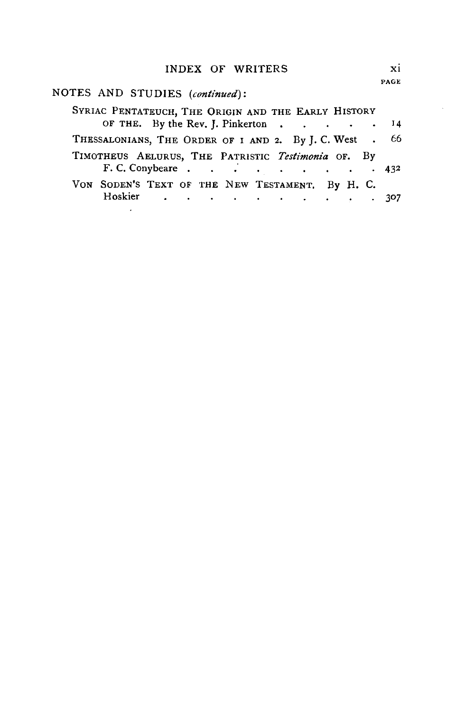#### INDEX OF WRITERS Xi

## NOTES AND STUDIES *(continued):*

| SYRIAC PENTATEUCH, THE ORIGIN AND THE EARLY HISTORY    |  |  |  |  |  |  |
|--------------------------------------------------------|--|--|--|--|--|--|
| OF THE. By the Rev. J. Pinkerton 14                    |  |  |  |  |  |  |
| THESSALONIANS, THE ORDER OF I AND 2. By J.C. West . 66 |  |  |  |  |  |  |
| TIMOTHEUS AELURUS, THE PATRISTIC Testimonia OF. By     |  |  |  |  |  |  |
| F. C. Conybeare 432                                    |  |  |  |  |  |  |
| VON SODEN'S TEXT OF THE NEW TESTAMENT. By H. C.        |  |  |  |  |  |  |
| Hoskier 307                                            |  |  |  |  |  |  |
|                                                        |  |  |  |  |  |  |

 $\sim$   $\sim$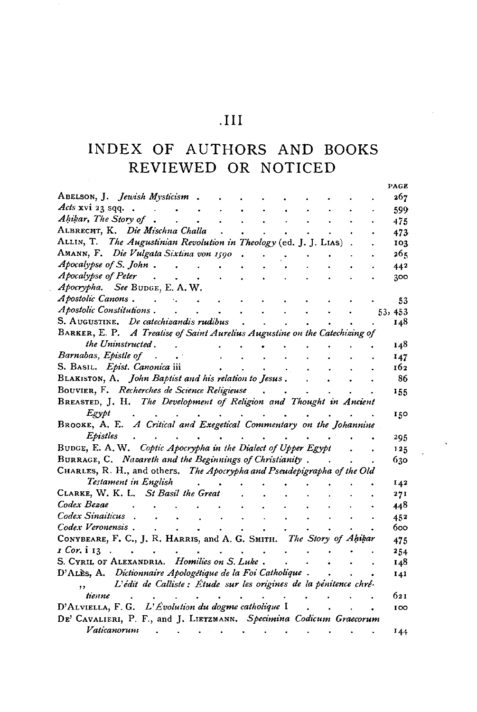### $\overline{III}$

# INDEX OF AUTHORS AND BOOKS REVIEWED OR NOTICED

|                                                                            |  |  |  |  | PAGE    |
|----------------------------------------------------------------------------|--|--|--|--|---------|
| ABELSON, J. Jewish Mysticism                                               |  |  |  |  | 267     |
| Acts xvi 23 sqq.                                                           |  |  |  |  | 599     |
| Ahikar, The Story of                                                       |  |  |  |  | 475     |
| ALBRECHT, K. Die Mischna Challa                                            |  |  |  |  | 473     |
| ALLIN, T. The Augustinian Revolution in Theology (ed. J. J. LIAS)          |  |  |  |  | 103     |
| AMANN, F. Die Vulgata Sixtina von 1590                                     |  |  |  |  | 265     |
| Apocalypse of S. John.                                                     |  |  |  |  | 442     |
| Apocalypse of Peter                                                        |  |  |  |  | 300     |
| Apocrypha. See BUDGE, E. A. W.                                             |  |  |  |  |         |
| Apostolic Canons.<br>$\sim$                                                |  |  |  |  | 53      |
| Apostolic Constitutions.                                                   |  |  |  |  | 53, 453 |
| S. AUGUSTINE, De catechizandis rudibus                                     |  |  |  |  | 148     |
| BARKER, E. P. A Treatise of Saint Aurelius Augustine on the Catechizing of |  |  |  |  |         |
| the Uninstructed.                                                          |  |  |  |  | 148     |
| Barnabas, Epistle of                                                       |  |  |  |  | 147     |
| S. BASIL. Epist. Canonica iii                                              |  |  |  |  | 162     |
| BLAKISTON, A. John Baptist and his relation to Jesus.                      |  |  |  |  | 86      |
| BOUVIER, F. Recherches de Science Religieuse                               |  |  |  |  | 155     |
| BREASTED, J. H. The Development of Religion and Thought in Ancient         |  |  |  |  |         |
| Egypt                                                                      |  |  |  |  | 150     |
| BROOKE, A. E. A Critical and Exegetical Commentary on the Johannine        |  |  |  |  |         |
| Epistles                                                                   |  |  |  |  | 295     |
| BUDGE, E. A. W. Coptic Apocrypha in the Dialect of Upper Egypt             |  |  |  |  | 125     |
| BURRAGE, C. Nazareth and the Beginnings of Christianity.                   |  |  |  |  | 630     |
| CHARLES, R. H., and others. The Apocrypha and Pseudepigrapha of the Old    |  |  |  |  |         |
| Testament in English                                                       |  |  |  |  | 142     |
| CLARKE, W. K. L. St Basil the Great                                        |  |  |  |  | 27I     |
| Codex Bezae                                                                |  |  |  |  | 448     |
| Codex Sinaiticus                                                           |  |  |  |  | 452     |
| Codex Veronensis.                                                          |  |  |  |  | 600     |
| CONYBEARE, F. C., J. R. HARRIS, and A. G. SMITH. The Story of Ahikar       |  |  |  |  | 475     |
| 1 Cor. i 13                                                                |  |  |  |  | 254     |
| S. CYRIL OF ALEXANDRIA. Homilies on S. Luke.                               |  |  |  |  | 148     |
| D'ALES, A. Dictionnaire Apologétique de la Foi Catholique.                 |  |  |  |  | 141     |
| L'édit de Calliste : Étude sur les origines de la pénitence chré-<br>,,    |  |  |  |  |         |
| tienne                                                                     |  |  |  |  | 621     |
| D'ALVIELLA, F. G. L'Évolution du dogme catholique I                        |  |  |  |  | 100     |
| DE' CAVALIERI, P. F., and J. LIETZMANN. Specimina Codicum Graecorum        |  |  |  |  |         |
| Vaticanorum                                                                |  |  |  |  | 144     |
|                                                                            |  |  |  |  |         |

 $\bar{\mathbf{A}}$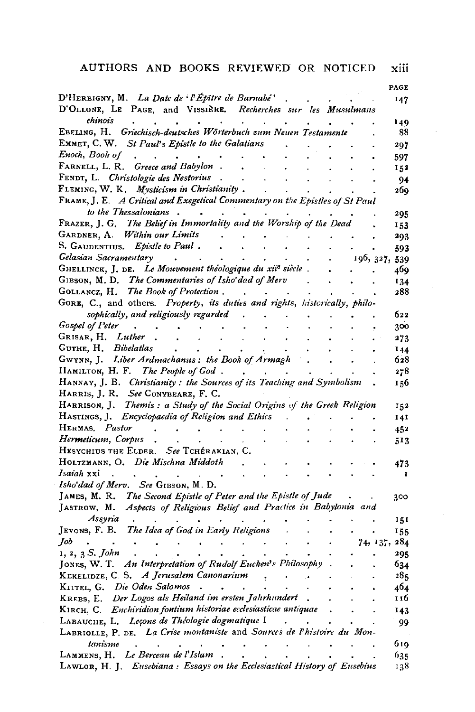#### AUTHORS AND BOOKS REVIEWED OR NOTICED xiii

|                                                                                                                 |        |  |               | PAGE |
|-----------------------------------------------------------------------------------------------------------------|--------|--|---------------|------|
| D'HERBIGNY, M. La Date de l'Épître de Barnabé'<br>D'OLLONE, LE PAGE, and VISSIÈRE. Recherches sur les Musulmans |        |  |               | 147  |
| chinois<br>$\ddot{\phantom{0}}$                                                                                 | $\sim$ |  |               | 149  |
| EBELING, H. Griechisch-deutsches Wörterbuch zum Neuen Testamente                                                |        |  |               | 88   |
| EMMET, C. W. St Paul's Epistle to the Galatians                                                                 |        |  |               | 297  |
| Enoch, Book of                                                                                                  |        |  |               | 597  |
| FARNELL, L. R. Greece and Babylon                                                                               |        |  |               | 152  |
| FENDT, L. Christologie des Nestorius                                                                            |        |  |               | 94   |
| FLEMING, W. K. Mysticism in Christianity.                                                                       |        |  |               | 269  |
| FRAME, J. E. A Critical and Exegetical Commentary on the Epistles of St Paul                                    |        |  |               |      |
| to the Thessalonians.                                                                                           |        |  |               | 295  |
| FRAZER, J. G. The Belief in Immortality and the Worship of the Dead                                             |        |  |               | 153  |
| GARDNER, A. Within our Limits                                                                                   |        |  |               | 293  |
| S. GAUDENTIUS. Epistle to Paul.                                                                                 |        |  |               | 593  |
| Gelasian Sacramentary<br>$\ddot{\phantom{a}}$<br>$\blacksquare$ .                                               |        |  | 196, 327, 539 |      |
| GHELLINCK, J. DE. Le Mouvement théologique du xiie siècle.                                                      |        |  |               | 469  |
| GIBSON, M. D. The Commentaries of Isho'dad of Merv                                                              |        |  |               | 134  |
| GOLLANCZ, H. The Book of Protection.                                                                            | $\sim$ |  |               | 288  |
| GORE, C., and others. Property, its duties and rights, historically, philo-                                     |        |  |               |      |
| sophically, and religiously regarded                                                                            |        |  |               | 622  |
| Gospel of Peter                                                                                                 |        |  |               | 300  |
| GRISAR, H. Luther                                                                                               |        |  |               | 273  |
| GUTHE, H. Bibelatlas                                                                                            |        |  |               | 144  |
| GWYNN, J. Liber Ardmachanus: the Book of Armagh                                                                 |        |  |               | 628  |
| HAMILTON, H. F. The People of God.                                                                              |        |  |               | 278  |
| HANNAY, J. B. Christianity: the Sources of its Teaching and Symbolism                                           |        |  |               | 156  |
| HARRIS, J. R. See CONYBEARE, F. C.                                                                              |        |  |               |      |
| HARRISON, J. Themis: a Study of the Social Origins of the Greek Religion                                        |        |  |               | 152  |
| HASTINGS, J. Encyclopaedia of Religion and Ethics                                                               |        |  |               | 141  |
| HERMAS, Pastor<br>$\mathbf{r}$<br>$\ddot{\phantom{0}}$<br>$\bullet$                                             |        |  |               | 452  |
| Her <b>meticum</b> , Corpus                                                                                     |        |  |               | 513  |
| HESYCHIUS THE ELDER. See TCHÉRAKIAN, C.                                                                         |        |  |               |      |
| HOLTZMANN, O. Die Mischna Middoth                                                                               |        |  |               | 473  |
| Isaiah xxi                                                                                                      |        |  |               | I    |
| Isho'dad of Merv. See GIBSON, M. D.                                                                             |        |  |               |      |
| JAMES, M. R. The Second Epistle of Peter and the Epistle of Jude                                                |        |  |               | 300  |
| Aspects of Religious Belief and Practice in Babylonia and<br>Jastrow, M.                                        |        |  |               |      |
| Assyria                                                                                                         |        |  |               | 151  |
| The Idea of God in Early Religions<br>Jevons, F. B.                                                             |        |  |               | 155  |
| Job<br>$\ddot{\phantom{0}}$<br>$\bullet$                                                                        |        |  | 74, 137, 284  |      |
| 1, 2, 3 S. John                                                                                                 |        |  |               | 295  |
| JONES, W. T. An Interpretation of Rudolf Eucken's Philosophy                                                    |        |  |               | 634  |
| KEKELIDZE, C. S. A Jerusalem Canonarium                                                                         |        |  |               | 285  |
| KITTEL, G. Die Oden Salomos                                                                                     |        |  |               | 464  |
| KREBS, E. Der Logos als Heiland im ersten Jahrhundert                                                           |        |  |               | 116  |
| KIRCH, C. Enchiridion fontium historiae ecclesiasticae antiquae                                                 |        |  |               | 143  |
| LABAUCHE, L. Leçons de Théologie dogmatique I                                                                   |        |  |               | 99   |
| LABRIOLLE, P. DE. La Crise montaniste and Sources de l'histoire du Mon-                                         |        |  |               |      |
| tanisme                                                                                                         |        |  |               | 619  |
| LAMMENS, H. Le Berceau de l'Islam                                                                               |        |  |               | 635  |
| LAWLOR, H. J. Eusebiana: Essays on the Ecclesiastical History of Eusebius                                       |        |  |               | 138  |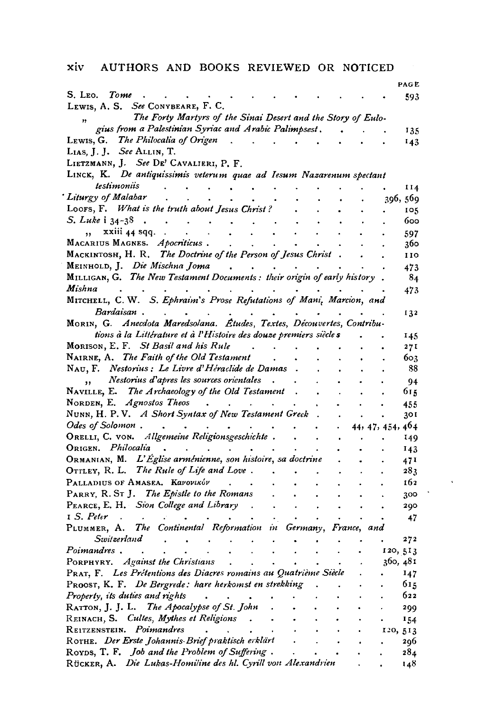#### xiv AUTHORS AND BOOKS REVIEWED OR NOTICED

|                                                                                                                                                  |           |                      | PAG E            |
|--------------------------------------------------------------------------------------------------------------------------------------------------|-----------|----------------------|------------------|
| S. Leo. <i>Tome</i>                                                                                                                              |           |                      | 593              |
| LEWIS, A. S. See CONYBEARE, F. C.                                                                                                                |           |                      |                  |
| The Forty Martyrs of the Sinai Desert and the Story of Eulo-                                                                                     |           |                      |                  |
| gius from a Palestinian Syriac and Arabic Palimpsest.                                                                                            |           |                      | 135              |
| LEWIS, G. The Philocalia of Origen<br>$\Delta\omega_{\rm{eff}}=0.1$<br>$\sim$ $\sim$ $\sim$                                                      |           |                      | 143              |
| LIAS, J. J. See ALLIN, T.                                                                                                                        |           |                      |                  |
| LIETZMANN, J. See DE' CAVALIERI, P. F.                                                                                                           |           |                      |                  |
| LINCK, K. De antiquissimis veterum quae ad Iesum Nazarenum spectant                                                                              |           |                      |                  |
| testimoniis<br>$\sim$                                                                                                                            |           |                      |                  |
| $\sim 10^{-10}$ km s $^{-1}$<br>Liturgy of Malabar                                                                                               |           |                      | 114              |
|                                                                                                                                                  |           |                      | 396, 569         |
| LOOFS, F. What is the truth about Jesus Christ?                                                                                                  |           |                      | 105              |
| S. Luke i 34-38.<br>$\sim$ $\sim$<br>$\sim 10^{-11}$                                                                                             |           |                      | 600              |
| $\overline{x}$ xiii 44 sqq<br>$\ddot{\phantom{0}}$<br>$\mathbf{a}$                                                                               |           |                      | 597              |
| MACARIUS MAGNES. Apocriticus.<br>$\bullet$ .                                                                                                     |           |                      | 360              |
| MACKINTOSH, H. R. The Doctrine of the Person of Jesus Christ.                                                                                    |           |                      | 110              |
| MEINHOLD, J. Die Mischna Joma                                                                                                                    |           |                      | 473              |
| MILLIGAN, G. The New Testament Documents: their origin of early history.                                                                         |           |                      | 84               |
| Mishna                                                                                                                                           |           |                      | 473              |
| MITCHELL, C. W. S. Ephraim's Prose Refutations of Mani, Marcion, and                                                                             |           |                      |                  |
| Bardaisan.                                                                                                                                       |           |                      | 132              |
| MORIN, G. Anecdota Maredsolana. Études, Textes, Découvertes, Contribu-                                                                           |           |                      |                  |
| tions à la Littérature et à l'Histoire des douze premiers siècle s                                                                               |           |                      | 145              |
| MORISON, E. F. St Basil and his Rule                                                                                                             |           |                      |                  |
| NAIRNE, A. The Faith of the Old Testament.                                                                                                       |           |                      | 271              |
|                                                                                                                                                  |           |                      | 603              |
| NAU, F. Nestorius : Le Livre d'Héraclide de Damas.                                                                                               |           |                      | -88              |
| Nestorius d'apres les sources orientales.<br>,, Nestorius d'apres les sources orientales, .<br>NAVILLE, E. The Archaeology of the Old Testament, |           |                      | 94               |
|                                                                                                                                                  | $\cdot$   |                      | 615              |
| NORDEN, E. Agnostos Theos                                                                                                                        |           |                      | 455              |
| NUNN, H. P. V. A Short Syntax of New Testament Greek.                                                                                            | $\bullet$ | $\ddot{\phantom{a}}$ | 30 I             |
| Odes of Solomon                                                                                                                                  |           |                      | 44, 47, 454, 464 |
| ORELLI, C. VON. Allgemeine Religionsgeschichte.<br>$\mathcal{L}^{\pm}$<br>$\sim$                                                                 |           |                      | 149              |
| ORIGEN. Philocalia<br>$\mathbf{r}$                                                                                                               |           |                      | 143              |
| $O_{\rm{RMANIAN}}$ , M. $L'$ Eglise arménienne, son histoire, sa doctrine                                                                        |           |                      | 471              |
| OTTLEY, R. L. The Rule of Life and Love.<br>$\sim 100$ km s $^{-1}$                                                                              |           |                      | 283              |
| PALLADIUS OF AMASEA. Kavovikóv<br>$\sim$                                                                                                         |           |                      | 162              |
| PARRY, R. ST J. The Epistle to the Romans<br>$\bullet$ .<br>$\bullet$                                                                            |           |                      | 300              |
| PEARCE, E. H. Sion College and Library.<br>$\ddot{\phantom{0}}$<br>$\bullet$                                                                     |           |                      | 290              |
| $I S. Peter$ .<br>$\sim$ $\sim$<br>$\bullet$                                                                                                     |           |                      | 47               |
| PLUMMER, A. The Continental Reformation in Germany, France, and                                                                                  |           |                      |                  |
| Switzerland<br>$\ddot{\phantom{a}}$<br>$\sim$                                                                                                    |           |                      | 272              |
| $\ddot{\phantom{0}}$                                                                                                                             |           |                      |                  |
| Poimandres .                                                                                                                                     |           |                      | 120, 513         |
| PORPHYRY. Against the Christians                                                                                                                 |           |                      | 360, 481         |
| PRAT, F. Les Prétentions des Diacres romains au Quatrième Siècle                                                                                 |           |                      | 147              |
| PROOST, K. F. De Bergrede: hare herkomst en strekking.                                                                                           |           |                      | 615              |
| Property, its duties and rights<br><b>Service</b>                                                                                                |           |                      | 622              |
| RATTON, J. J. L. The Apocalypse of St. John.                                                                                                     |           |                      | 299              |
| REINACH, S. Cultes, Mythes et Religions.<br>$\mathcal{A}^{\mathcal{A}}$ , $\mathcal{A}^{\mathcal{A}}$                                            |           |                      | 154              |
| REITZENSTEIN. Poimandres                                                                                                                         |           |                      | 120, 513         |
|                                                                                                                                                  |           | $\bullet$            | 206              |
| ROTHE. Der Erste Johannis Brief praktisch erklärt<br>ROYDS, T. F. Job and the Problem of Suffering.                                              |           |                      | 284              |
| Rücker, A. Die Lukas-Homiline des hl. Cyrill von Alexandrien                                                                                     |           |                      | 148              |
|                                                                                                                                                  |           |                      |                  |

 $\sim$   $\sim$